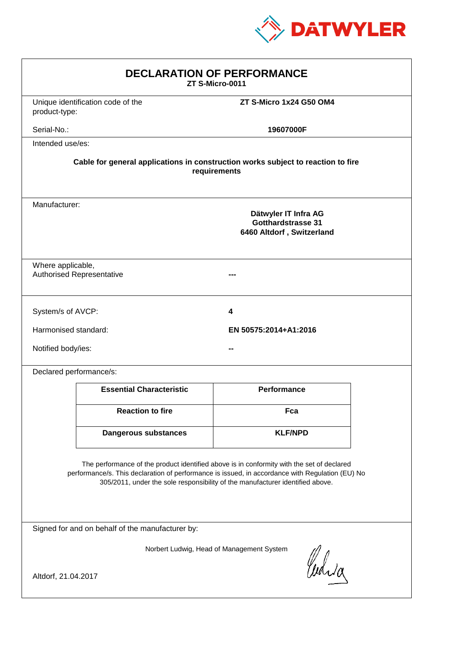

| <b>DECLARATION OF PERFORMANCE</b><br>ZT S-Micro-0011                                                                                                                                                                                                                          |                                   |                         |  |  |
|-------------------------------------------------------------------------------------------------------------------------------------------------------------------------------------------------------------------------------------------------------------------------------|-----------------------------------|-------------------------|--|--|
| product-type:                                                                                                                                                                                                                                                                 | Unique identification code of the | ZT S-Micro 1x24 G50 OM4 |  |  |
| Serial-No.:                                                                                                                                                                                                                                                                   |                                   | 19607000F               |  |  |
| Intended use/es:                                                                                                                                                                                                                                                              |                                   |                         |  |  |
| Cable for general applications in construction works subject to reaction to fire<br>requirements                                                                                                                                                                              |                                   |                         |  |  |
| Manufacturer:<br>Dätwyler IT Infra AG<br><b>Gotthardstrasse 31</b><br>6460 Altdorf, Switzerland                                                                                                                                                                               |                                   |                         |  |  |
| Where applicable,                                                                                                                                                                                                                                                             | <b>Authorised Representative</b>  |                         |  |  |
| System/s of AVCP:                                                                                                                                                                                                                                                             |                                   | 4                       |  |  |
| Harmonised standard:                                                                                                                                                                                                                                                          |                                   | EN 50575:2014+A1:2016   |  |  |
| Notified body/ies:                                                                                                                                                                                                                                                            |                                   |                         |  |  |
| Declared performance/s:                                                                                                                                                                                                                                                       |                                   |                         |  |  |
|                                                                                                                                                                                                                                                                               | <b>Essential Characteristic</b>   | Performance             |  |  |
|                                                                                                                                                                                                                                                                               | <b>Reaction to fire</b>           | Fca                     |  |  |
|                                                                                                                                                                                                                                                                               | Dangerous substances              | <b>KLF/NPD</b>          |  |  |
| The performance of the product identified above is in conformity with the set of declared<br>performance/s. This declaration of performance is issued, in accordance with Regulation (EU) No<br>305/2011, under the sole responsibility of the manufacturer identified above. |                                   |                         |  |  |
| Signed for and on behalf of the manufacturer by:                                                                                                                                                                                                                              |                                   |                         |  |  |
| Norbert Ludwig, Head of Management System<br>Whila                                                                                                                                                                                                                            |                                   |                         |  |  |
| Altdorf, 21.04.2017                                                                                                                                                                                                                                                           |                                   |                         |  |  |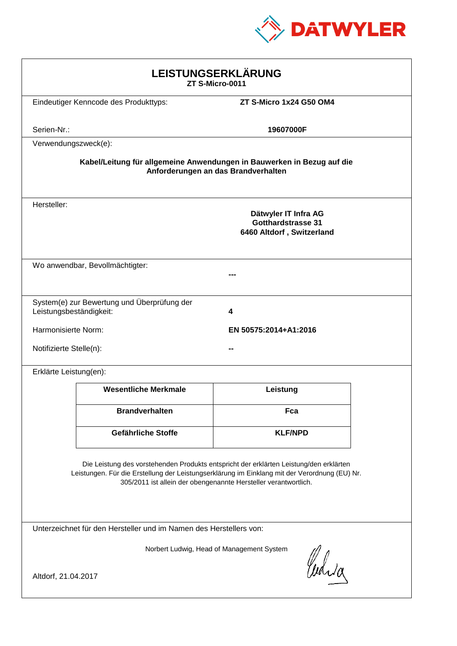

| LEISTUNGSERKLÄRUNG<br>ZT S-Micro-0011                                                                                                                                                                                                                      |                                             |                                                                         |  |  |
|------------------------------------------------------------------------------------------------------------------------------------------------------------------------------------------------------------------------------------------------------------|---------------------------------------------|-------------------------------------------------------------------------|--|--|
|                                                                                                                                                                                                                                                            | Eindeutiger Kenncode des Produkttyps:       | ZT S-Micro 1x24 G50 OM4                                                 |  |  |
| Serien-Nr.:                                                                                                                                                                                                                                                |                                             | 19607000F                                                               |  |  |
| Verwendungszweck(e):                                                                                                                                                                                                                                       |                                             |                                                                         |  |  |
| Kabel/Leitung für allgemeine Anwendungen in Bauwerken in Bezug auf die<br>Anforderungen an das Brandverhalten                                                                                                                                              |                                             |                                                                         |  |  |
| Hersteller:                                                                                                                                                                                                                                                |                                             | Dätwyler IT Infra AG<br>Gotthardstrasse 31<br>6460 Altdorf, Switzerland |  |  |
|                                                                                                                                                                                                                                                            | Wo anwendbar, Bevollmächtigter:             |                                                                         |  |  |
| Leistungsbeständigkeit:                                                                                                                                                                                                                                    | System(e) zur Bewertung und Überprüfung der | 4                                                                       |  |  |
| Harmonisierte Norm:                                                                                                                                                                                                                                        |                                             | EN 50575:2014+A1:2016                                                   |  |  |
| Notifizierte Stelle(n):                                                                                                                                                                                                                                    |                                             |                                                                         |  |  |
| Erklärte Leistung(en):                                                                                                                                                                                                                                     |                                             |                                                                         |  |  |
|                                                                                                                                                                                                                                                            | <b>Wesentliche Merkmale</b>                 | Leistung                                                                |  |  |
|                                                                                                                                                                                                                                                            | <b>Brandverhalten</b>                       | Fca                                                                     |  |  |
|                                                                                                                                                                                                                                                            | Gefährliche Stoffe                          | <b>KLF/NPD</b>                                                          |  |  |
| Die Leistung des vorstehenden Produkts entspricht der erklärten Leistung/den erklärten<br>Leistungen. Für die Erstellung der Leistungserklärung im Einklang mit der Verordnung (EU) Nr.<br>305/2011 ist allein der obengenannte Hersteller verantwortlich. |                                             |                                                                         |  |  |
| Unterzeichnet für den Hersteller und im Namen des Herstellers von:                                                                                                                                                                                         |                                             |                                                                         |  |  |
| Norbert Ludwig, Head of Management System<br>Whila<br>Altdorf, 21.04.2017                                                                                                                                                                                  |                                             |                                                                         |  |  |
|                                                                                                                                                                                                                                                            |                                             |                                                                         |  |  |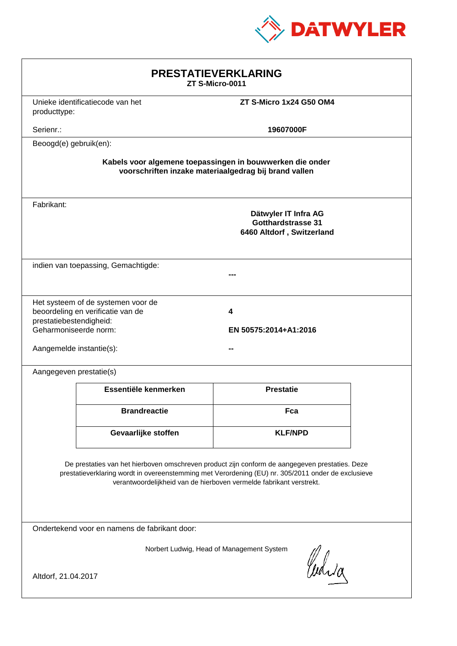

| <b>PRESTATIEVERKLARING</b><br>ZT S-Micro-0011                                                                                                                                                                                                                               |                                                                             |                  |  |  |
|-----------------------------------------------------------------------------------------------------------------------------------------------------------------------------------------------------------------------------------------------------------------------------|-----------------------------------------------------------------------------|------------------|--|--|
|                                                                                                                                                                                                                                                                             | Unieke identificatiecode van het<br>ZT S-Micro 1x24 G50 OM4<br>producttype: |                  |  |  |
| Serienr.:                                                                                                                                                                                                                                                                   |                                                                             | 19607000F        |  |  |
| Beoogd(e) gebruik(en):                                                                                                                                                                                                                                                      |                                                                             |                  |  |  |
| Kabels voor algemene toepassingen in bouwwerken die onder<br>voorschriften inzake materiaalgedrag bij brand vallen                                                                                                                                                          |                                                                             |                  |  |  |
| Fabrikant:<br>Dätwyler IT Infra AG<br>Gotthardstrasse 31<br>6460 Altdorf, Switzerland                                                                                                                                                                                       |                                                                             |                  |  |  |
|                                                                                                                                                                                                                                                                             | indien van toepassing, Gemachtigde:                                         |                  |  |  |
| Het systeem of de systemen voor de<br>beoordeling en verificatie van de<br>4<br>prestatiebestendigheid:<br>Geharmoniseerde norm:<br>EN 50575:2014+A1:2016<br>Aangemelde instantie(s):                                                                                       |                                                                             |                  |  |  |
| Aangegeven prestatie(s)                                                                                                                                                                                                                                                     |                                                                             |                  |  |  |
|                                                                                                                                                                                                                                                                             | Essentiële kenmerken                                                        | <b>Prestatie</b> |  |  |
|                                                                                                                                                                                                                                                                             | <b>Brandreactie</b>                                                         | Fca              |  |  |
|                                                                                                                                                                                                                                                                             | Gevaarlijke stoffen                                                         | <b>KLF/NPD</b>   |  |  |
| De prestaties van het hierboven omschreven product zijn conform de aangegeven prestaties. Deze<br>prestatieverklaring wordt in overeenstemming met Verordening (EU) nr. 305/2011 onder de exclusieve<br>verantwoordelijkheid van de hierboven vermelde fabrikant verstrekt. |                                                                             |                  |  |  |
| Ondertekend voor en namens de fabrikant door:                                                                                                                                                                                                                               |                                                                             |                  |  |  |
| Norbert Ludwig, Head of Management System<br>Whila<br>Altdorf, 21.04.2017                                                                                                                                                                                                   |                                                                             |                  |  |  |
|                                                                                                                                                                                                                                                                             |                                                                             |                  |  |  |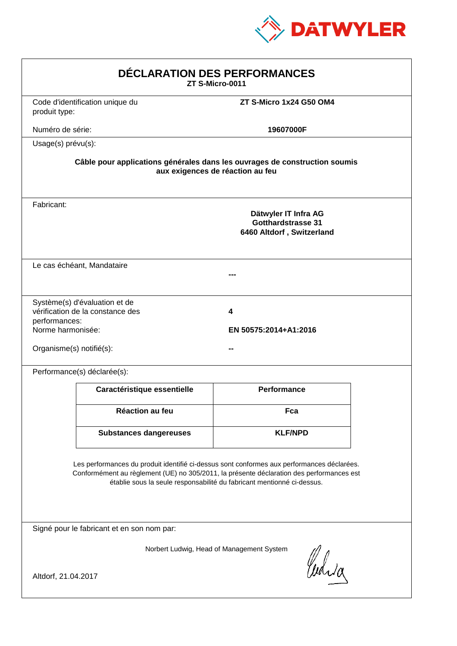

| DÉCLARATION DES PERFORMANCES<br>ZT S-Micro-0011                                                                                                                                                                                                                  |                                                                            |                                                                                |  |  |
|------------------------------------------------------------------------------------------------------------------------------------------------------------------------------------------------------------------------------------------------------------------|----------------------------------------------------------------------------|--------------------------------------------------------------------------------|--|--|
| produit type:                                                                                                                                                                                                                                                    | Code d'identification unique du                                            | ZT S-Micro 1x24 G50 OM4                                                        |  |  |
| Numéro de série:                                                                                                                                                                                                                                                 |                                                                            | 19607000F                                                                      |  |  |
| Usage(s) prévu(s):                                                                                                                                                                                                                                               |                                                                            |                                                                                |  |  |
|                                                                                                                                                                                                                                                                  | Câble pour applications générales dans les ouvrages de construction soumis | aux exigences de réaction au feu                                               |  |  |
| Fabricant:                                                                                                                                                                                                                                                       |                                                                            | Dätwyler IT Infra AG<br><b>Gotthardstrasse 31</b><br>6460 Altdorf, Switzerland |  |  |
|                                                                                                                                                                                                                                                                  | Le cas échéant, Mandataire                                                 |                                                                                |  |  |
| performances:<br>Norme harmonisée:<br>Organisme(s) notifié(s):                                                                                                                                                                                                   | Système(s) d'évaluation et de<br>vérification de la constance des          | 4<br>EN 50575:2014+A1:2016                                                     |  |  |
|                                                                                                                                                                                                                                                                  | Performance(s) déclarée(s):                                                |                                                                                |  |  |
|                                                                                                                                                                                                                                                                  | Caractéristique essentielle                                                | Performance                                                                    |  |  |
|                                                                                                                                                                                                                                                                  | Réaction au feu                                                            | Fca                                                                            |  |  |
|                                                                                                                                                                                                                                                                  | <b>Substances dangereuses</b>                                              | <b>KLF/NPD</b>                                                                 |  |  |
| Les performances du produit identifié ci-dessus sont conformes aux performances déclarées.<br>Conformément au règlement (UE) no 305/2011, la présente déclaration des performances est<br>établie sous la seule responsabilité du fabricant mentionné ci-dessus. |                                                                            |                                                                                |  |  |
|                                                                                                                                                                                                                                                                  | Signé pour le fabricant et en son nom par:                                 |                                                                                |  |  |
|                                                                                                                                                                                                                                                                  |                                                                            | Norbert Ludwig, Head of Management System<br>Whia                              |  |  |
| Altdorf, 21.04.2017                                                                                                                                                                                                                                              |                                                                            |                                                                                |  |  |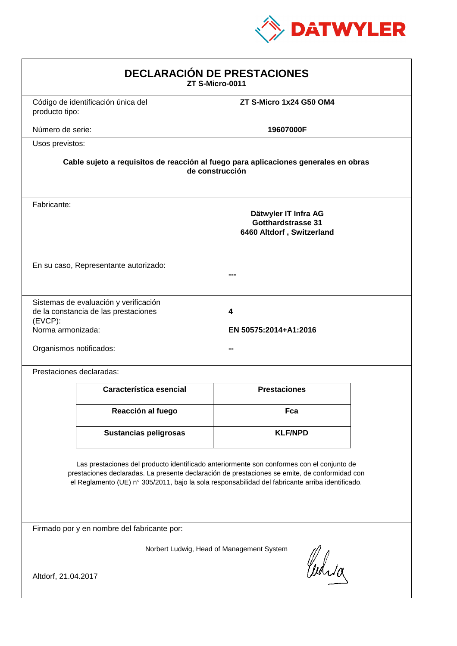

| <b>DECLARACIÓN DE PRESTACIONES</b><br>ZT S-Micro-0011                                                                                                                                                                                                                                          |                                                                         |                         |  |  |
|------------------------------------------------------------------------------------------------------------------------------------------------------------------------------------------------------------------------------------------------------------------------------------------------|-------------------------------------------------------------------------|-------------------------|--|--|
| producto tipo:                                                                                                                                                                                                                                                                                 | Código de identificación única del                                      | ZT S-Micro 1x24 G50 OM4 |  |  |
| Número de serie:                                                                                                                                                                                                                                                                               |                                                                         | 19607000F               |  |  |
| Usos previstos:                                                                                                                                                                                                                                                                                |                                                                         |                         |  |  |
| Cable sujeto a requisitos de reacción al fuego para aplicaciones generales en obras<br>de construcción                                                                                                                                                                                         |                                                                         |                         |  |  |
| Fabricante:                                                                                                                                                                                                                                                                                    | Dätwyler IT Infra AG<br>Gotthardstrasse 31<br>6460 Altdorf, Switzerland |                         |  |  |
|                                                                                                                                                                                                                                                                                                | En su caso, Representante autorizado:                                   |                         |  |  |
| Sistemas de evaluación y verificación<br>de la constancia de las prestaciones<br>4<br>$(EVCP)$ :<br>Norma armonizada:<br>EN 50575:2014+A1:2016<br>Organismos notificados:                                                                                                                      |                                                                         |                         |  |  |
|                                                                                                                                                                                                                                                                                                | Prestaciones declaradas:                                                |                         |  |  |
|                                                                                                                                                                                                                                                                                                | Característica esencial                                                 | <b>Prestaciones</b>     |  |  |
|                                                                                                                                                                                                                                                                                                | Reacción al fuego                                                       | Fca                     |  |  |
|                                                                                                                                                                                                                                                                                                | <b>Sustancias peligrosas</b>                                            | <b>KLF/NPD</b>          |  |  |
| Las prestaciones del producto identificado anteriormente son conformes con el conjunto de<br>prestaciones declaradas. La presente declaración de prestaciones se emite, de conformidad con<br>el Reglamento (UE) nº 305/2011, bajo la sola responsabilidad del fabricante arriba identificado. |                                                                         |                         |  |  |
| Firmado por y en nombre del fabricante por:                                                                                                                                                                                                                                                    |                                                                         |                         |  |  |
| Norbert Ludwig, Head of Management System<br>Curia<br>Altdorf, 21.04.2017                                                                                                                                                                                                                      |                                                                         |                         |  |  |